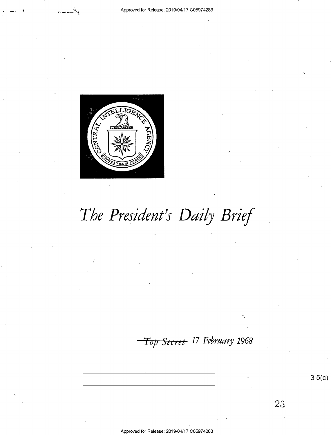



# The President's Daily Brief

Top Secret 17 February 1968

 $3.5(c)$ 

23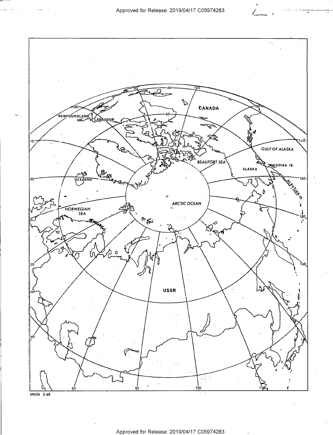

Approved for Release: 2019/04/17 C05974283

69636 2-68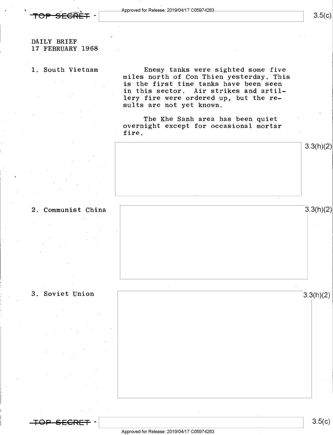

 $3.5(c)$ 

### DAILY BRIEF 17 FEBRUARY 1968

1. South Vietnam Enemy tanks were sighted some five miles north of Con Thien yesterday. This is the first time tanks have been seen in this sector. Air strikes and artillery fire were ordered up, but the results are not yet known.

> The Khe Sanh area has been quiet overnight except for occasional mortar  $\blacksquare$  fire.



### 2. Communist China 3.3(h)(2)

3. Soviet Union





 $3.5(c)$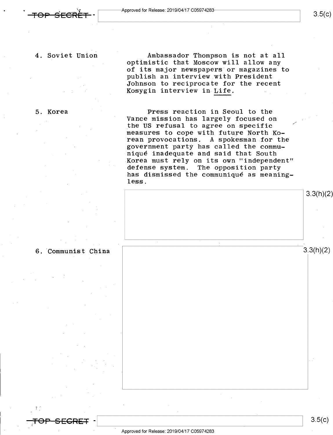4. Soviet Union Ambassador Thompson is not at all ' optimistic that Moscow will allow any of its major newspapers or magazines to publish an interview with President Johnson to reciprocate for the recent Kosygin interview in Life.

5. Korea Press reaction in Seoul to the Vance mission has largely focused on the US refusal to agree on specific measures to cope with future North Ko-<br>rean provocations. A spokesman for the A spokesman for the government party has called the communiqué inadequate and said that South Korea must rely on its own "independent" defense system. The opposition party has dismissed the communiqué as meaning~ less.



 $\mathbf{I}$ 

rs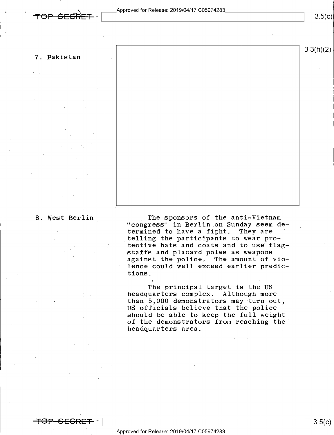$3.5(c)$ 

 $3.3(h)(2)$ 

### 7. Pakistan

8. West Berlin The sponsors of the anti-Vietnam "congress" in Berlin on Sunday seem determined to have a fight. They are telling the participants to wear protective hats and coats and to use flag staffs and placard poles as weapons against the police. The amount of violence could well exceed earlier predictions.

> The principal target is the US headquarters complex. Although more than 5,000 demonstrators may turn out, US officials believe that the police should be able to keep the full weight of the demonstrators from reaching the' headquarters area.

. .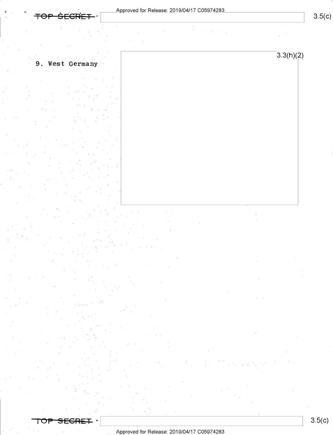$3.5(c)$ 

 $3.3(h)(2)$ 

### 9. West Germany

ਾ

Approved for Release: 2019/04/17 C05974283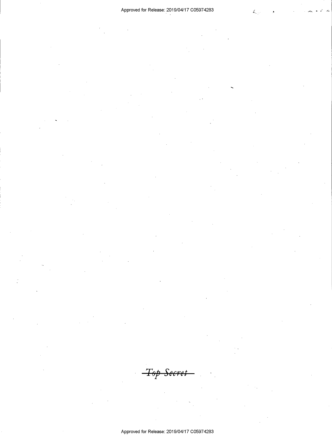$\ddot{\phantom{0}}$ 

<del>Top Secret</del>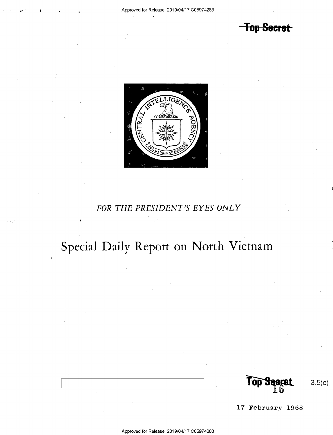**Top Secret** 



### FOR THE PRESIDENT'S EYES ONLY

## Special Daily Report on North Vietnam

 $3.5(c)$ 

17 February 1968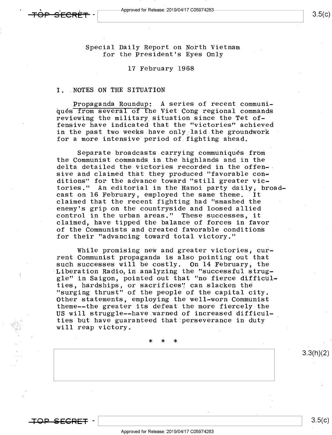Special Daily Report on North Vietnam for the President's Eyes Only

### 17 February 1968

### I. .NOTES ON THE SITUATION

lPropaganda Roundup: A series of recent communiqués from several of the Viet Cong regional commands reviewing the military situation since the Tet offensive have indicated that the "victories" achieved in the past two weeks have only laid the groundwork for a more intensive period of fighting ahead.

Separate broadcasts carrying communiqués from the Communist commands in the highlands and in the delta detailed the victories recorded in the offen- sive and claimed that they produced "favorable conditions" for the advance toward "still greater victories." An editorial in the Hanoi party daily, broad-<br>cast on 16 February, employed the same theme. It claimed that the recent fighting had "smashed the enemy's grip on the countryside and loosed allied control in the urban areas." These successes, it claimed, have tipped the balance of forces in favor of the Communists and created favorable conditions for their "advancing toward total victory."

While promising new and greater victories, current Communist propaganda is also pointing out that such successes will be costly. On 14 February, the<br>Liberation Radio, in analyzing the "successful struggle" in Saigon, pointed out that "no fierce difficul-<br>ties, hardships, or sacrifices" can slacken the "surging thrust" of the people of the capital city. Other statements, employing the well-worn Communist theme--the greater its defeat the more fiercely-the US will struggle--have warned of increased difficulties but have guaranteed that perseverance in duty will reap victory.

\* \* \* .

TO<del>P SECRET</del>

 $\vert$  3.5(c)

3.3(h)(2)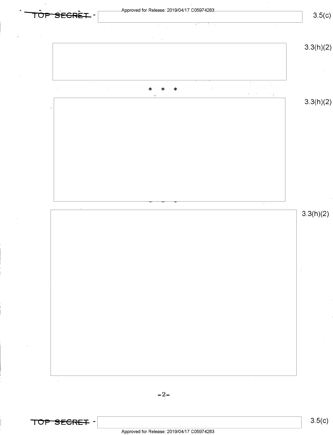

Approved for Release: 2019/04/17 C05974283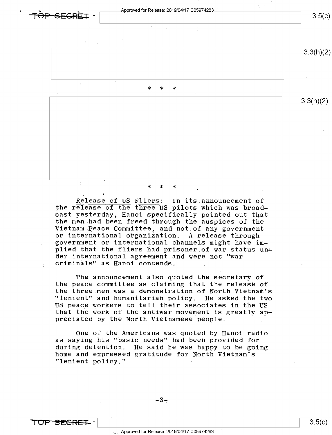$\overrightarrow{TP}$  .  $\overrightarrow{FP}$   $\overrightarrow{FP}$   $\overrightarrow{FP}$   $\overrightarrow{FP}$  +  $\overrightarrow{FP}$  $3.5(c)$ 3.3(h)(2) \  $*$  \* \* 3.3(h)(2)

### \* \* \*

Release of US Fliers; In its.announcement of the release of the three US pilots which was broad-<br>cast yesterday, Hanoi specifically pointed out that the men had been freed through the auspices of the Vietnam Peace Committee, and\_not.of any government or international organization. A release through government or international channels might have implied that the fliers had prisoner of war status under international agreement and were not "war ; criminals" as Hanoi contends. .

The announcement also quoted the secretary of the peace committee as claiming that the release of the three men was a demonstration of North Vietnam's "lenient" and humanitarian policy. He asked the two US peace workers to tell their associates in the US that the work of the antiwar movement is greatly appreciated by the North Vietnamese people.

One of the Americans was quoted by Hanoi radio as saying his "basic needs" had been provided for during detention. He said he was happy to be going home and expressed gratitude for North Vietnam's "lenient policy."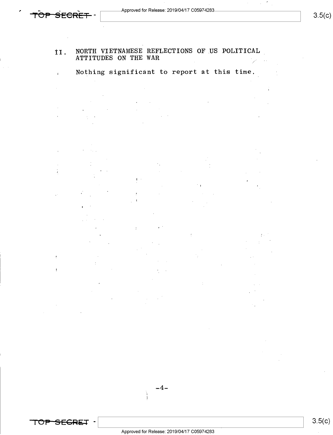Approved for Release: 2019/04/17 C05974283.

.<br><del>1</del>

 $\mathcal{L}_{\mathcal{A}}$ 

 $\sim$ 

 $3.5(c)$ 

### 11, NORTH VIETNAMESE REFLECTIONS OF US POLITICAL ATTITUDES ON THE WAR

. Nothing significant to report at this time.

Y R

÷

 $\Box$ 

 $-4-$